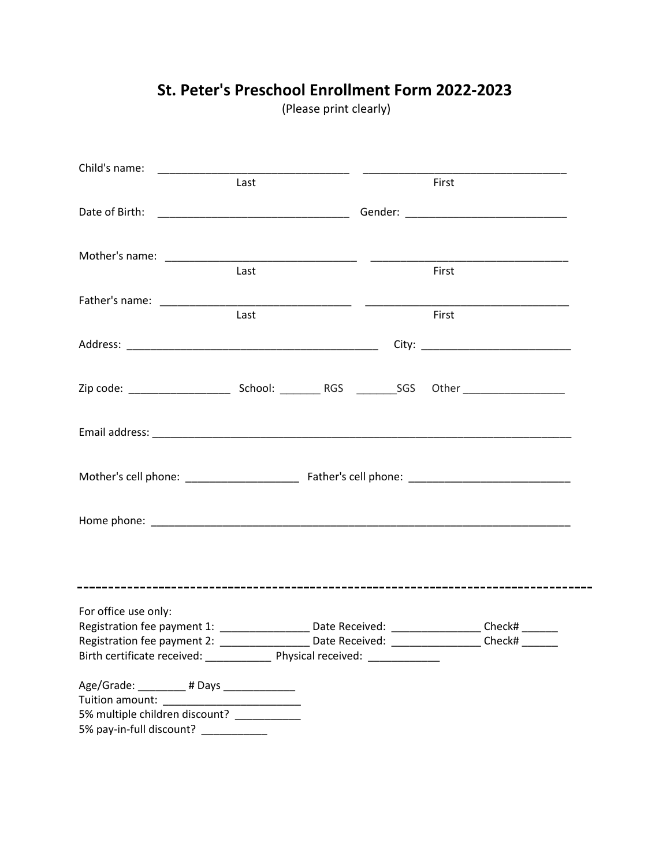|                                                                                                 | Last |  | First |  |
|-------------------------------------------------------------------------------------------------|------|--|-------|--|
|                                                                                                 |      |  |       |  |
|                                                                                                 |      |  |       |  |
|                                                                                                 |      |  |       |  |
|                                                                                                 | Last |  | First |  |
|                                                                                                 |      |  |       |  |
|                                                                                                 | Last |  | First |  |
|                                                                                                 |      |  |       |  |
|                                                                                                 |      |  |       |  |
|                                                                                                 |      |  |       |  |
|                                                                                                 |      |  |       |  |
|                                                                                                 |      |  |       |  |
|                                                                                                 |      |  |       |  |
|                                                                                                 |      |  |       |  |
|                                                                                                 |      |  |       |  |
|                                                                                                 |      |  |       |  |
|                                                                                                 |      |  |       |  |
|                                                                                                 |      |  |       |  |
|                                                                                                 |      |  |       |  |
|                                                                                                 |      |  |       |  |
|                                                                                                 |      |  |       |  |
| For office use only:                                                                            |      |  |       |  |
| Registration fee payment 1: __________________ Date Received: __________________ Check# _______ |      |  |       |  |
| Registration fee payment 2: ___________________Date Received: ________________Check# _______    |      |  |       |  |
| Birth certificate received: _______________ Physical received: _________________                |      |  |       |  |
| Age/Grade: _________# Days _____________                                                        |      |  |       |  |
|                                                                                                 |      |  |       |  |
| 5% multiple children discount?                                                                  |      |  |       |  |
| 5% pay-in-full discount? ____________                                                           |      |  |       |  |

# **St. Peter's Preschool Enrollment Form 2022-2023**

(Please print clearly)